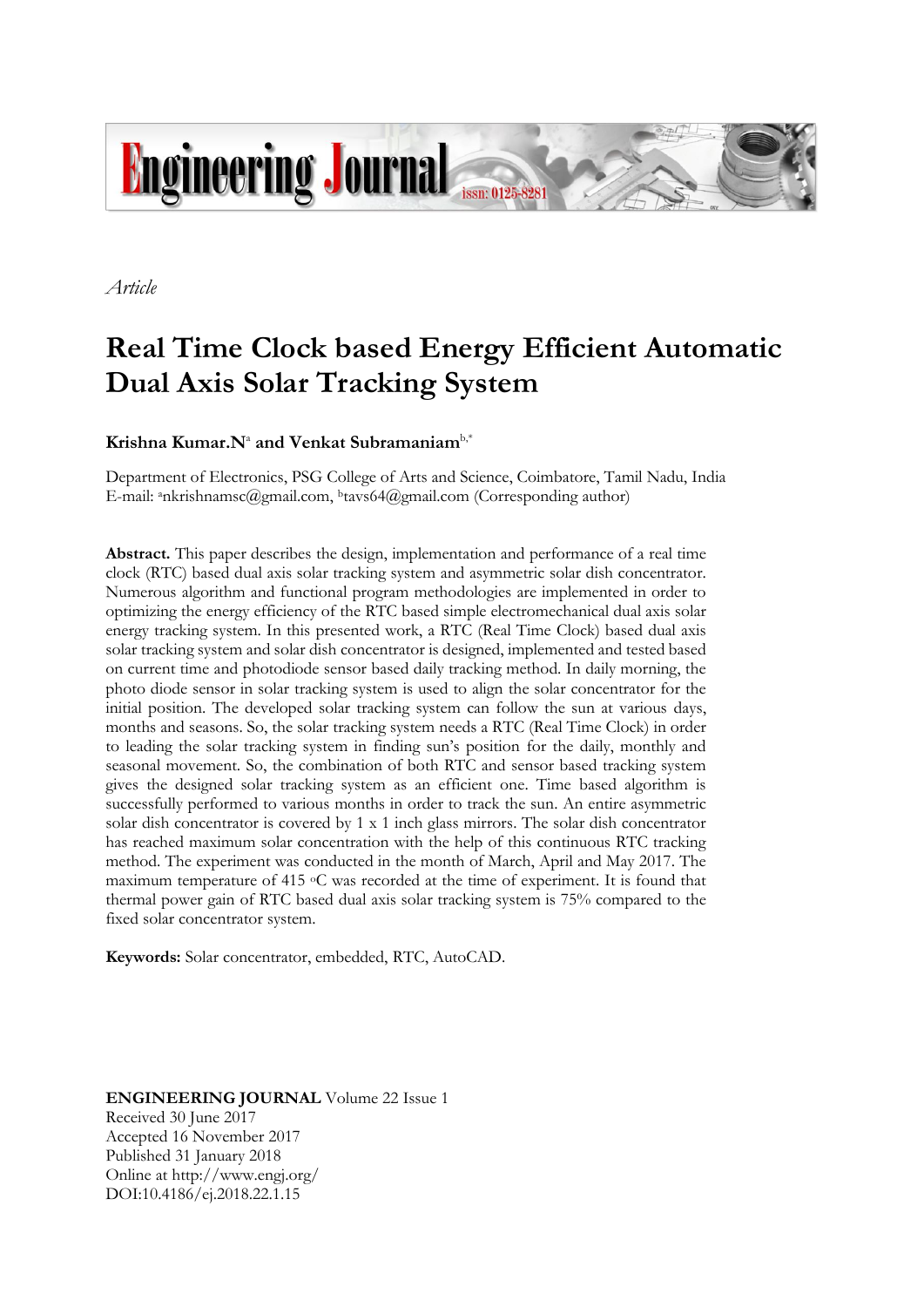

*Article*

# **Real Time Clock based Energy Efficient Automatic Dual Axis Solar Tracking System**

# $\mathbf{K}$ rishna  $\mathbf{K}$ umar. $\mathbf{N}^{\text{a}}$  and  $\mathbf{V}$ enkat  $\mathbf{Subramanian}^{\text{b,*}}$

Department of Electronics, PSG College of Arts and Science, Coimbatore, Tamil Nadu, India E-mail: ankrishnamsc@gmail.com, <sup>b</sup>tavs64@gmail.com (Corresponding author)

**Abstract.** This paper describes the design, implementation and performance of a real time clock (RTC) based dual axis solar tracking system and asymmetric solar dish concentrator. Numerous algorithm and functional program methodologies are implemented in order to optimizing the energy efficiency of the RTC based simple electromechanical dual axis solar energy tracking system. In this presented work, a RTC (Real Time Clock) based dual axis solar tracking system and solar dish concentrator is designed, implemented and tested based on current time and photodiode sensor based daily tracking method. In daily morning, the photo diode sensor in solar tracking system is used to align the solar concentrator for the initial position. The developed solar tracking system can follow the sun at various days, months and seasons. So, the solar tracking system needs a RTC (Real Time Clock) in order to leading the solar tracking system in finding sun's position for the daily, monthly and seasonal movement. So, the combination of both RTC and sensor based tracking system gives the designed solar tracking system as an efficient one. Time based algorithm is successfully performed to various months in order to track the sun. An entire asymmetric solar dish concentrator is covered by 1 x 1 inch glass mirrors. The solar dish concentrator has reached maximum solar concentration with the help of this continuous RTC tracking method. The experiment was conducted in the month of March, April and May 2017. The maximum temperature of 415 oC was recorded at the time of experiment. It is found that thermal power gain of RTC based dual axis solar tracking system is 75% compared to the fixed solar concentrator system.

**Keywords:** Solar concentrator, embedded, RTC, AutoCAD.

**ENGINEERING JOURNAL** Volume 22 Issue 1 Received 30 June 2017 Accepted 16 November 2017 Published 31 January 2018 Online at http://www.engj.org/ DOI:10.4186/ej.2018.22.1.15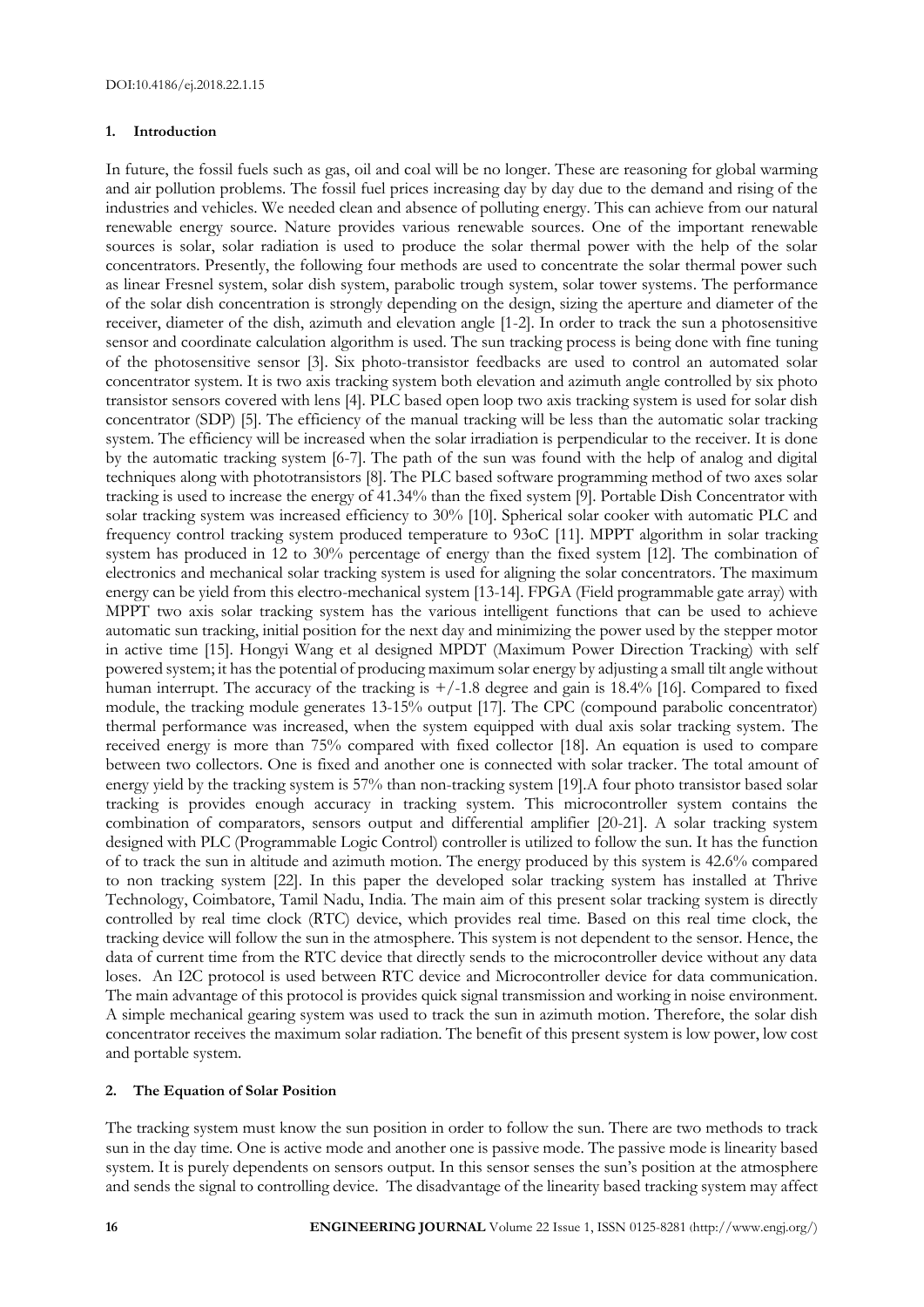# **1. Introduction**

In future, the fossil fuels such as gas, oil and coal will be no longer. These are reasoning for global warming and air pollution problems. The fossil fuel prices increasing day by day due to the demand and rising of the industries and vehicles. We needed clean and absence of polluting energy. This can achieve from our natural renewable energy source. Nature provides various renewable sources. One of the important renewable sources is solar, solar radiation is used to produce the solar thermal power with the help of the solar concentrators. Presently, the following four methods are used to concentrate the solar thermal power such as linear Fresnel system, solar dish system, parabolic trough system, solar tower systems. The performance of the solar dish concentration is strongly depending on the design, sizing the aperture and diameter of the receiver, diameter of the dish, azimuth and elevation angle [1-2]. In order to track the sun a photosensitive sensor and coordinate calculation algorithm is used. The sun tracking process is being done with fine tuning of the photosensitive sensor [3]. Six photo-transistor feedbacks are used to control an automated solar concentrator system. It is two axis tracking system both elevation and azimuth angle controlled by six photo transistor sensors covered with lens [4]. PLC based open loop two axis tracking system is used for solar dish concentrator (SDP) [5]. The efficiency of the manual tracking will be less than the automatic solar tracking system. The efficiency will be increased when the solar irradiation is perpendicular to the receiver. It is done by the automatic tracking system [6-7]. The path of the sun was found with the help of analog and digital techniques along with phototransistors [8]. The PLC based software programming method of two axes solar tracking is used to increase the energy of 41.34% than the fixed system [9]. Portable Dish Concentrator with solar tracking system was increased efficiency to 30% [10]. Spherical solar cooker with automatic PLC and frequency control tracking system produced temperature to 93oC [11]. MPPT algorithm in solar tracking system has produced in 12 to 30% percentage of energy than the fixed system [12]. The combination of electronics and mechanical solar tracking system is used for aligning the solar concentrators. The maximum energy can be yield from this electro-mechanical system [13-14]. FPGA (Field programmable gate array) with MPPT two axis solar tracking system has the various intelligent functions that can be used to achieve automatic sun tracking, initial position for the next day and minimizing the power used by the stepper motor in active time [15]. Hongyi Wang et al designed MPDT (Maximum Power Direction Tracking) with self powered system; it has the potential of producing maximum solar energy by adjusting a small tilt angle without human interrupt. The accuracy of the tracking is  $+/-1.8$  degree and gain is 18.4% [16]. Compared to fixed module, the tracking module generates 13-15% output [17]. The CPC (compound parabolic concentrator) thermal performance was increased, when the system equipped with dual axis solar tracking system. The received energy is more than 75% compared with fixed collector [18]. An equation is used to compare between two collectors. One is fixed and another one is connected with solar tracker. The total amount of energy yield by the tracking system is 57% than non-tracking system [19].A four photo transistor based solar tracking is provides enough accuracy in tracking system. This microcontroller system contains the combination of comparators, sensors output and differential amplifier [20-21]. A solar tracking system designed with PLC (Programmable Logic Control) controller is utilized to follow the sun. It has the function of to track the sun in altitude and azimuth motion. The energy produced by this system is 42.6% compared to non tracking system [22]. In this paper the developed solar tracking system has installed at Thrive Technology, Coimbatore, Tamil Nadu, India. The main aim of this present solar tracking system is directly controlled by real time clock (RTC) device, which provides real time. Based on this real time clock, the tracking device will follow the sun in the atmosphere. This system is not dependent to the sensor. Hence, the data of current time from the RTC device that directly sends to the microcontroller device without any data loses. An I2C protocol is used between RTC device and Microcontroller device for data communication. The main advantage of this protocol is provides quick signal transmission and working in noise environment. A simple mechanical gearing system was used to track the sun in azimuth motion. Therefore, the solar dish concentrator receives the maximum solar radiation. The benefit of this present system is low power, low cost and portable system.

# **2. The Equation of Solar Position**

The tracking system must know the sun position in order to follow the sun. There are two methods to track sun in the day time. One is active mode and another one is passive mode. The passive mode is linearity based system. It is purely dependents on sensors output. In this sensor senses the sun's position at the atmosphere and sends the signal to controlling device. The disadvantage of the linearity based tracking system may affect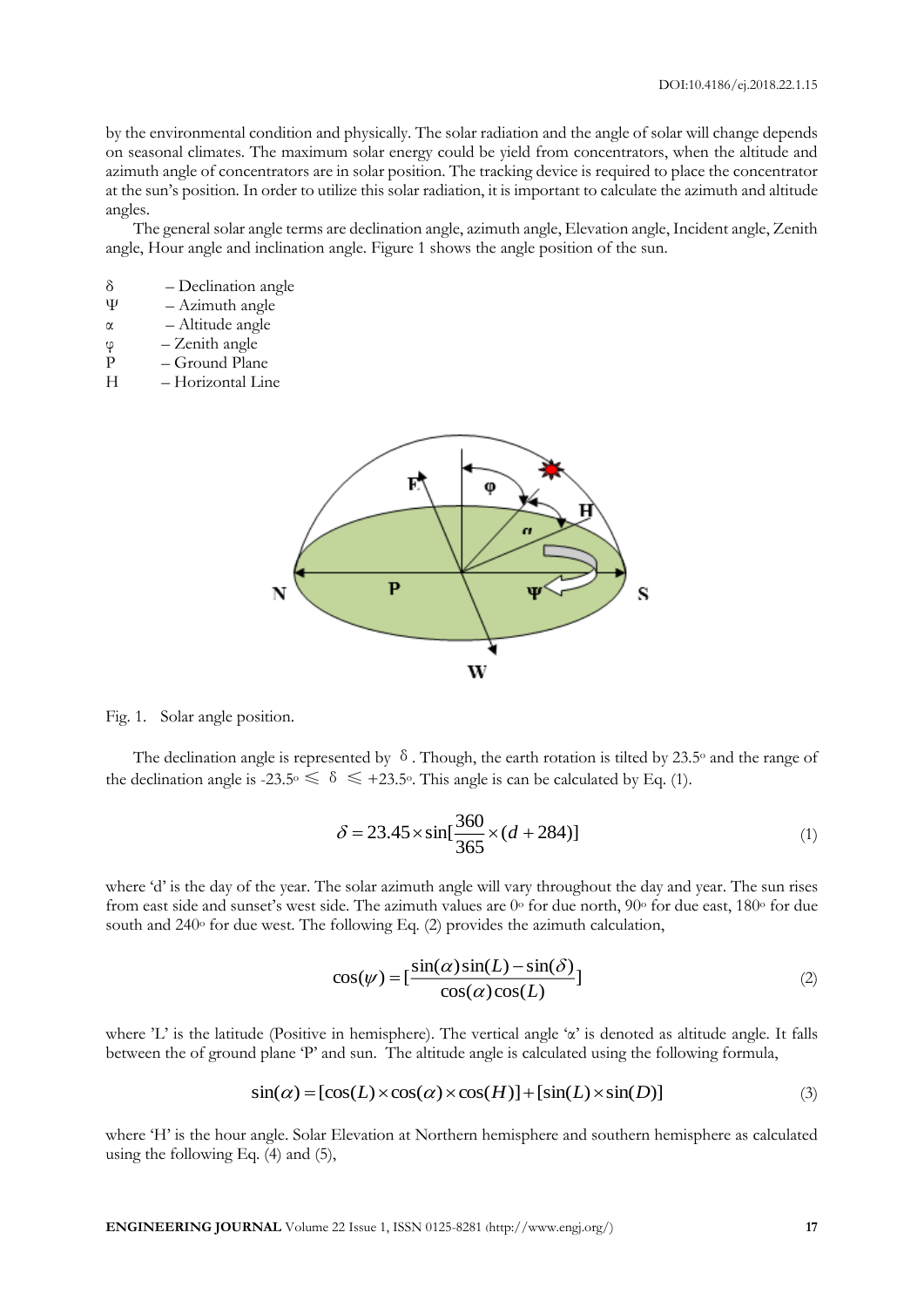by the environmental condition and physically. The solar radiation and the angle of solar will change depends on seasonal climates. The maximum solar energy could be yield from concentrators, when the altitude and azimuth angle of concentrators are in solar position. The tracking device is required to place the concentrator at the sun's position. In order to utilize this solar radiation, it is important to calculate the azimuth and altitude angles.

The general solar angle terms are declination angle, azimuth angle, Elevation angle, Incident angle, Zenith angle, Hour angle and inclination angle. Figure 1 shows the angle position of the sun.

- δ Declination angle
- $\Psi$  Azimuth angle
- α Altitude angle
- φ Zenith angle
- P Ground Plane
- H Horizontal Line



Fig. 1. Solar angle position.

The declination angle is represented by  $\delta$ . Though, the earth rotation is tilted by 23.5° and the range of the declination angle is -23.5<sup>o</sup>  $\leq \delta \leq +23.5$ <sup>o</sup>. This angle is can be calculated by Eq. (1).

$$
\delta = 23.45 \times \sin[\frac{360}{365} \times (d + 284)] \tag{1}
$$

where 'd' is the day of the year. The solar azimuth angle will vary throughout the day and year. The sun rises from east side and sunset's west side. The azimuth values are  $0^{\circ}$  for due north,  $90^{\circ}$  for due east,  $180^{\circ}$  for due south and  $240^\circ$  for due west. The following Eq. (2) provides the azimuth calculation,

$$
\cos(\psi) = \left[\frac{\sin(\alpha)\sin(L) - \sin(\delta)}{\cos(\alpha)\cos(L)}\right]
$$
 (2)

where 'L' is the latitude (Positive in hemisphere). The vertical angle 'α' is denoted as altitude angle. It falls between the of ground plane 'P' and sun. The altitude angle is calculated using the following formula,

$$
\sin(\alpha) = [\cos(L) \times \cos(\alpha) \times \cos(H)] + [\sin(L) \times \sin(D)] \tag{3}
$$

where 'H' is the hour angle. Solar Elevation at Northern hemisphere and southern hemisphere as calculated using the following Eq. (4) and (5),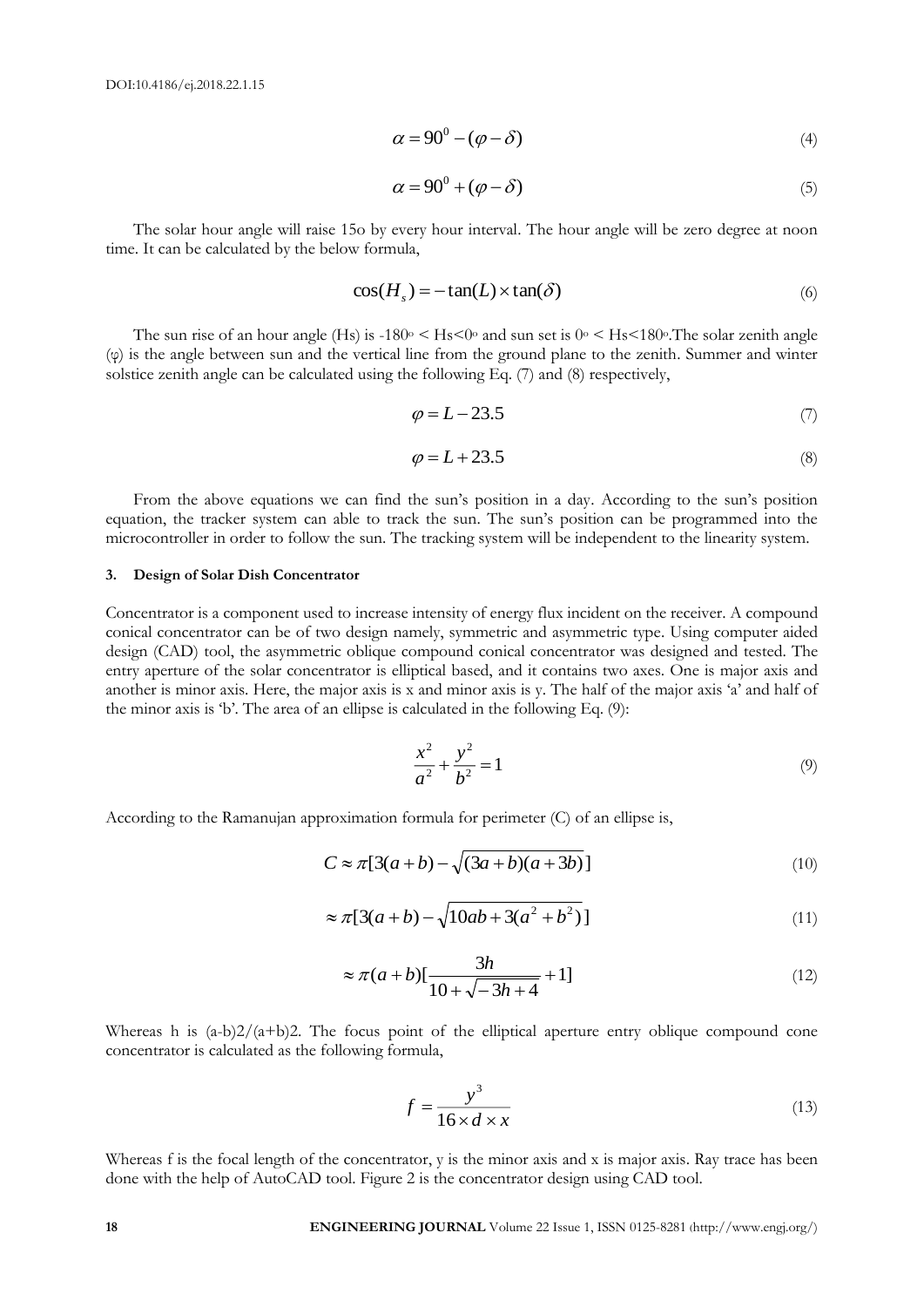$$
\alpha = 90^0 - (\varphi - \delta) \tag{4}
$$

$$
\alpha = 90^0 + (\varphi - \delta) \tag{5}
$$

The solar hour angle will raise 15o by every hour interval. The hour angle will be zero degree at noon time. It can be calculated by the below formula,

$$
\cos(H_s) = -\tan(L) \times \tan(\delta) \tag{6}
$$

The sun rise of an hour angle (Hs) is  $-180^\circ \leq$  Hs $\leq 0^\circ$  and sun set is  $0^\circ \leq$  Hs $\leq 180^\circ$ . The solar zenith angle (φ) is the angle between sun and the vertical line from the ground plane to the zenith. Summer and winter solstice zenith angle can be calculated using the following Eq. (7) and (8) respectively,

$$
\varphi = L - 23.5\tag{7}
$$

$$
\varphi = L + 23.5\tag{8}
$$

From the above equations we can find the sun's position in a day. According to the sun's position equation, the tracker system can able to track the sun. The sun's position can be programmed into the microcontroller in order to follow the sun. The tracking system will be independent to the linearity system.

#### **3. Design of Solar Dish Concentrator**

**28 28 28 28 28 28 ENGINEERING JOURNAL VALUE (19) 28 ENGINEERING JOURNAL VALUE (19) 28 ENGINEERING JOURNAL VALUE (19) ENGINEERING JOURNAL VALUE (19) 2 ENGINEERING JOURNAL VALUE (19) 2 ENGINEE** Concentrator is a component used to increase intensity of energy flux incident on the receiver. A compound conical concentrator can be of two design namely, symmetric and asymmetric type. Using computer aided design (CAD) tool, the asymmetric oblique compound conical concentrator was designed and tested. The entry aperture of the solar concentrator is elliptical based, and it contains two axes. One is major axis and another is minor axis. Here, the major axis is x and minor axis is y. The half of the major axis 'a' and half of the minor axis is 'b'. The area of an ellipse is calculated in the following Eq. (9):

$$
\frac{x^2}{a^2} + \frac{y^2}{b^2} = 1\tag{9}
$$

According to the Ramanujan approximation formula for perimeter (C) of an ellipse is,

$$
C \approx \pi [3(a+b) - \sqrt{(3a+b)(a+3b)}]
$$
\n(10)

$$
\approx \pi [3(a+b) - \sqrt{10ab + 3(a^2 + b^2)}]
$$
\n(11)

$$
\approx \pi(a+b)[\frac{3h}{10+\sqrt{-3h+4}}+1]
$$
 (12)

Whereas h is  $(a-b)2/(a+b)2$ . The focus point of the elliptical aperture entry oblique compound cone concentrator is calculated as the following formula,

$$
f = \frac{y^3}{16 \times d \times x} \tag{13}
$$

Whereas f is the focal length of the concentrator, y is the minor axis and x is major axis. Ray trace has been done with the help of AutoCAD tool. Figure 2 is the concentrator design using CAD tool.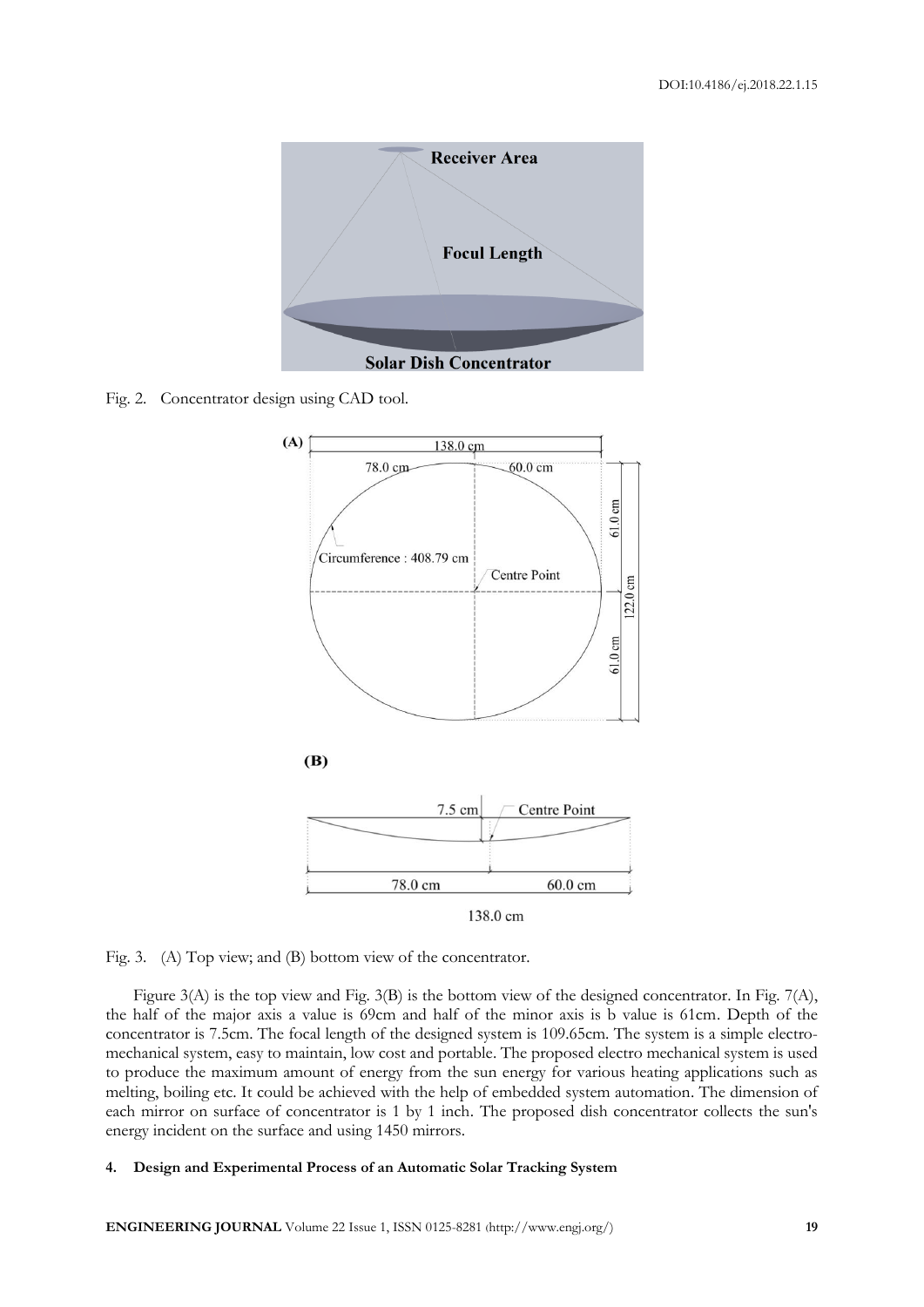

Fig. 2. Concentrator design using CAD tool.



Fig. 3. (A) Top view; and (B) bottom view of the concentrator.

Figure 3(A) is the top view and Fig. 3(B) is the bottom view of the designed concentrator. In Fig. 7(A), the half of the major axis a value is 69cm and half of the minor axis is b value is 61cm. Depth of the concentrator is 7.5cm. The focal length of the designed system is 109.65cm. The system is a simple electromechanical system, easy to maintain, low cost and portable. The proposed electro mechanical system is used to produce the maximum amount of energy from the sun energy for various heating applications such as melting, boiling etc. It could be achieved with the help of embedded system automation. The dimension of each mirror on surface of concentrator is 1 by 1 inch. The proposed dish concentrator collects the sun's energy incident on the surface and using 1450 mirrors.

## **4. Design and Experimental Process of an Automatic Solar Tracking System**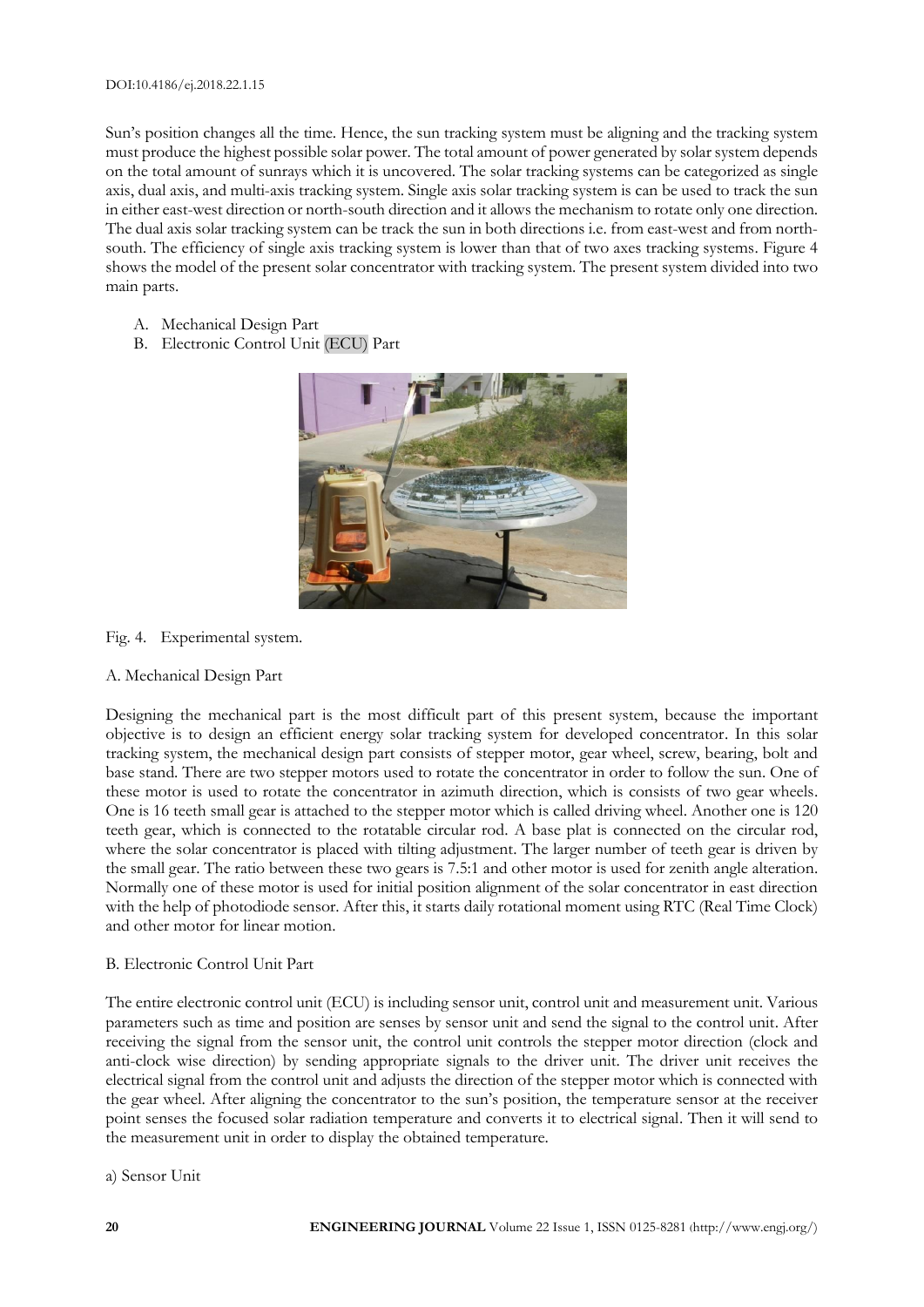Sun's position changes all the time. Hence, the sun tracking system must be aligning and the tracking system must produce the highest possible solar power. The total amount of power generated by solar system depends on the total amount of sunrays which it is uncovered. The solar tracking systems can be categorized as single axis, dual axis, and multi-axis tracking system. Single axis solar tracking system is can be used to track the sun in either east-west direction or north-south direction and it allows the mechanism to rotate only one direction. The dual axis solar tracking system can be track the sun in both directions i.e. from east-west and from northsouth. The efficiency of single axis tracking system is lower than that of two axes tracking systems. Figure 4 shows the model of the present solar concentrator with tracking system. The present system divided into two main parts.

- A. Mechanical Design Part
- B. Electronic Control Unit (ECU) Part



Fig. 4. Experimental system.

# A. Mechanical Design Part

Designing the mechanical part is the most difficult part of this present system, because the important objective is to design an efficient energy solar tracking system for developed concentrator. In this solar tracking system, the mechanical design part consists of stepper motor, gear wheel, screw, bearing, bolt and base stand. There are two stepper motors used to rotate the concentrator in order to follow the sun. One of these motor is used to rotate the concentrator in azimuth direction, which is consists of two gear wheels. One is 16 teeth small gear is attached to the stepper motor which is called driving wheel. Another one is 120 teeth gear, which is connected to the rotatable circular rod. A base plat is connected on the circular rod, where the solar concentrator is placed with tilting adjustment. The larger number of teeth gear is driven by the small gear. The ratio between these two gears is 7.5:1 and other motor is used for zenith angle alteration. Normally one of these motor is used for initial position alignment of the solar concentrator in east direction with the help of photodiode sensor. After this, it starts daily rotational moment using RTC (Real Time Clock) and other motor for linear motion.

# B. Electronic Control Unit Part

The entire electronic control unit (ECU) is including sensor unit, control unit and measurement unit. Various parameters such as time and position are senses by sensor unit and send the signal to the control unit. After receiving the signal from the sensor unit, the control unit controls the stepper motor direction (clock and anti-clock wise direction) by sending appropriate signals to the driver unit. The driver unit receives the electrical signal from the control unit and adjusts the direction of the stepper motor which is connected with the gear wheel. After aligning the concentrator to the sun's position, the temperature sensor at the receiver point senses the focused solar radiation temperature and converts it to electrical signal. Then it will send to the measurement unit in order to display the obtained temperature.

a) Sensor Unit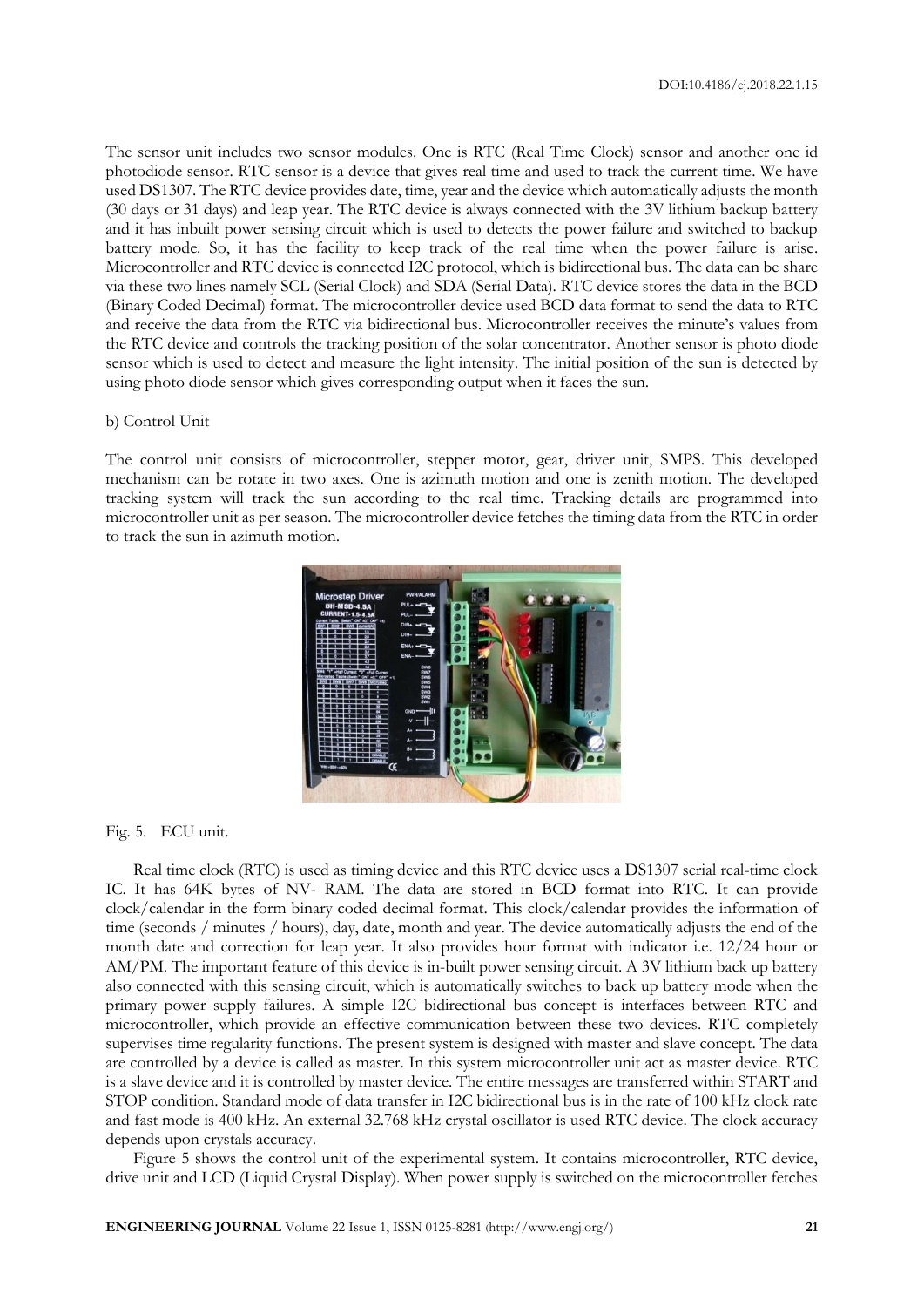The sensor unit includes two sensor modules. One is RTC (Real Time Clock) sensor and another one id photodiode sensor. RTC sensor is a device that gives real time and used to track the current time. We have used DS1307. The RTC device provides date, time, year and the device which automatically adjusts the month (30 days or 31 days) and leap year. The RTC device is always connected with the 3V lithium backup battery and it has inbuilt power sensing circuit which is used to detects the power failure and switched to backup battery mode. So, it has the facility to keep track of the real time when the power failure is arise. Microcontroller and RTC device is connected I2C protocol, which is bidirectional bus. The data can be share via these two lines namely SCL (Serial Clock) and SDA (Serial Data). RTC device stores the data in the BCD (Binary Coded Decimal) format. The microcontroller device used BCD data format to send the data to RTC and receive the data from the RTC via bidirectional bus. Microcontroller receives the minute's values from the RTC device and controls the tracking position of the solar concentrator. Another sensor is photo diode sensor which is used to detect and measure the light intensity. The initial position of the sun is detected by using photo diode sensor which gives corresponding output when it faces the sun.

#### b) Control Unit

The control unit consists of microcontroller, stepper motor, gear, driver unit, SMPS. This developed mechanism can be rotate in two axes. One is azimuth motion and one is zenith motion. The developed tracking system will track the sun according to the real time. Tracking details are programmed into microcontroller unit as per season. The microcontroller device fetches the timing data from the RTC in order to track the sun in azimuth motion.



Fig. 5. ECU unit.

Real time clock (RTC) is used as timing device and this RTC device uses a DS1307 serial real-time clock IC. It has 64K bytes of NV- RAM. The data are stored in BCD format into RTC. It can provide clock/calendar in the form binary coded decimal format. This clock/calendar provides the information of time (seconds / minutes / hours), day, date, month and year. The device automatically adjusts the end of the month date and correction for leap year. It also provides hour format with indicator i.e. 12/24 hour or AM/PM. The important feature of this device is in-built power sensing circuit. A 3V lithium back up battery also connected with this sensing circuit, which is automatically switches to back up battery mode when the primary power supply failures. A simple I2C bidirectional bus concept is interfaces between RTC and microcontroller, which provide an effective communication between these two devices. RTC completely supervises time regularity functions. The present system is designed with master and slave concept. The data are controlled by a device is called as master. In this system microcontroller unit act as master device. RTC is a slave device and it is controlled by master device. The entire messages are transferred within START and STOP condition. Standard mode of data transfer in I2C bidirectional bus is in the rate of 100 kHz clock rate and fast mode is 400 kHz. An external 32.768 kHz crystal oscillator is used RTC device. The clock accuracy depends upon crystals accuracy.

Figure 5 shows the control unit of the experimental system. It contains microcontroller, RTC device, drive unit and LCD (Liquid Crystal Display). When power supply is switched on the microcontroller fetches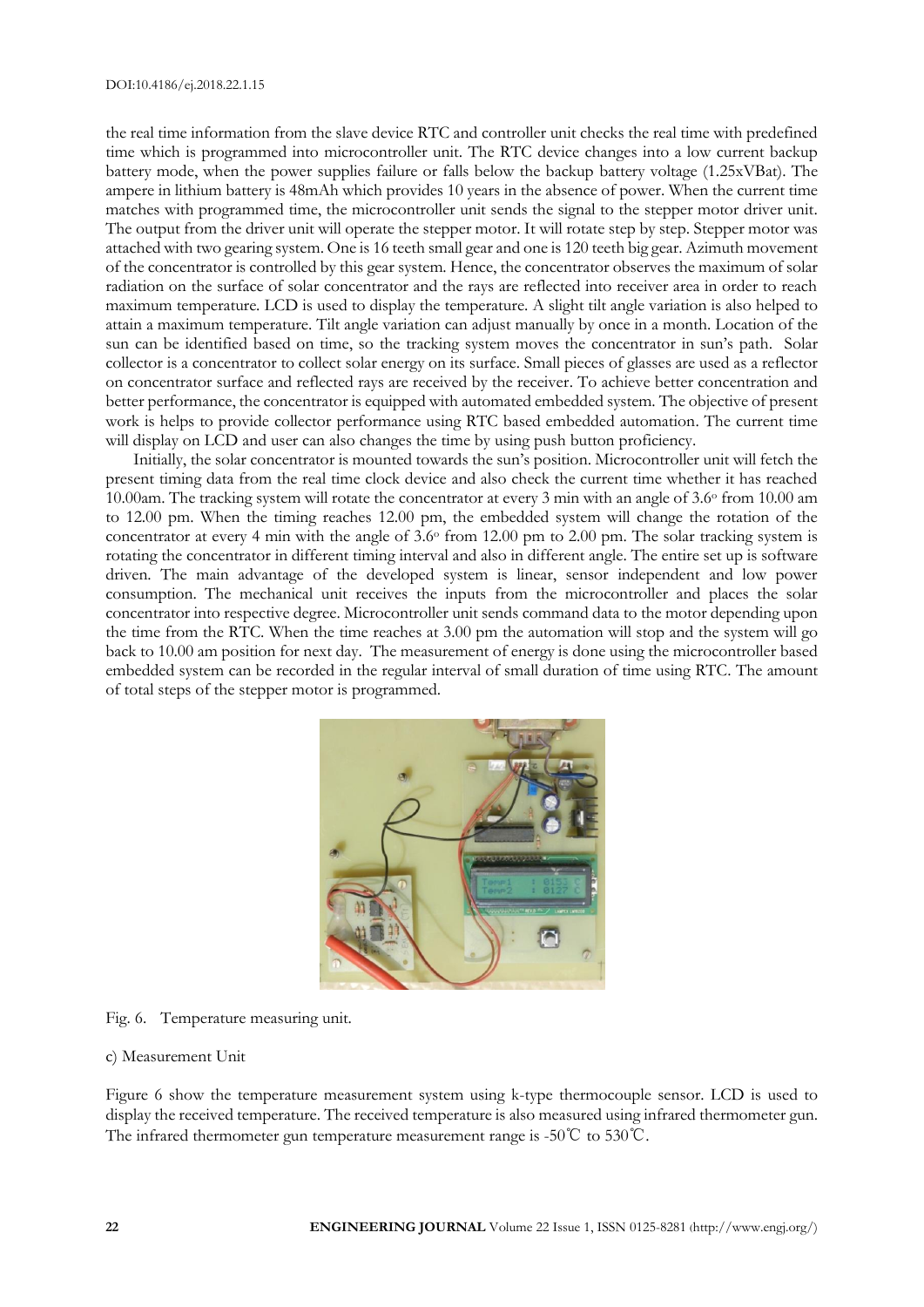the real time information from the slave device RTC and controller unit checks the real time with predefined time which is programmed into microcontroller unit. The RTC device changes into a low current backup battery mode, when the power supplies failure or falls below the backup battery voltage (1.25xVBat). The ampere in lithium battery is 48mAh which provides 10 years in the absence of power. When the current time matches with programmed time, the microcontroller unit sends the signal to the stepper motor driver unit. The output from the driver unit will operate the stepper motor. It will rotate step by step. Stepper motor was attached with two gearing system. One is 16 teeth small gear and one is 120 teeth big gear. Azimuth movement of the concentrator is controlled by this gear system. Hence, the concentrator observes the maximum of solar radiation on the surface of solar concentrator and the rays are reflected into receiver area in order to reach maximum temperature. LCD is used to display the temperature. A slight tilt angle variation is also helped to attain a maximum temperature. Tilt angle variation can adjust manually by once in a month. Location of the sun can be identified based on time, so the tracking system moves the concentrator in sun's path. Solar collector is a concentrator to collect solar energy on its surface. Small pieces of glasses are used as a reflector on concentrator surface and reflected rays are received by the receiver. To achieve better concentration and better performance, the concentrator is equipped with automated embedded system. The objective of present work is helps to provide collector performance using RTC based embedded automation. The current time will display on LCD and user can also changes the time by using push button proficiency.

Initially, the solar concentrator is mounted towards the sun's position. Microcontroller unit will fetch the present timing data from the real time clock device and also check the current time whether it has reached 10.00am. The tracking system will rotate the concentrator at every 3 min with an angle of 3.6<sup>o</sup> from 10.00 am to 12.00 pm. When the timing reaches 12.00 pm, the embedded system will change the rotation of the concentrator at every 4 min with the angle of  $3.6\textdegree$  from 12.00 pm to 2.00 pm. The solar tracking system is rotating the concentrator in different timing interval and also in different angle. The entire set up is software driven. The main advantage of the developed system is linear, sensor independent and low power consumption. The mechanical unit receives the inputs from the microcontroller and places the solar concentrator into respective degree. Microcontroller unit sends command data to the motor depending upon the time from the RTC. When the time reaches at 3.00 pm the automation will stop and the system will go back to 10.00 am position for next day. The measurement of energy is done using the microcontroller based embedded system can be recorded in the regular interval of small duration of time using RTC. The amount of total steps of the stepper motor is programmed.



Fig. 6. Temperature measuring unit.

#### c) Measurement Unit

Figure 6 show the temperature measurement system using k-type thermocouple sensor. LCD is used to display the received temperature. The received temperature is also measured using infrared thermometer gun. The infrared thermometer gun temperature measurement range is -50℃ to 530℃.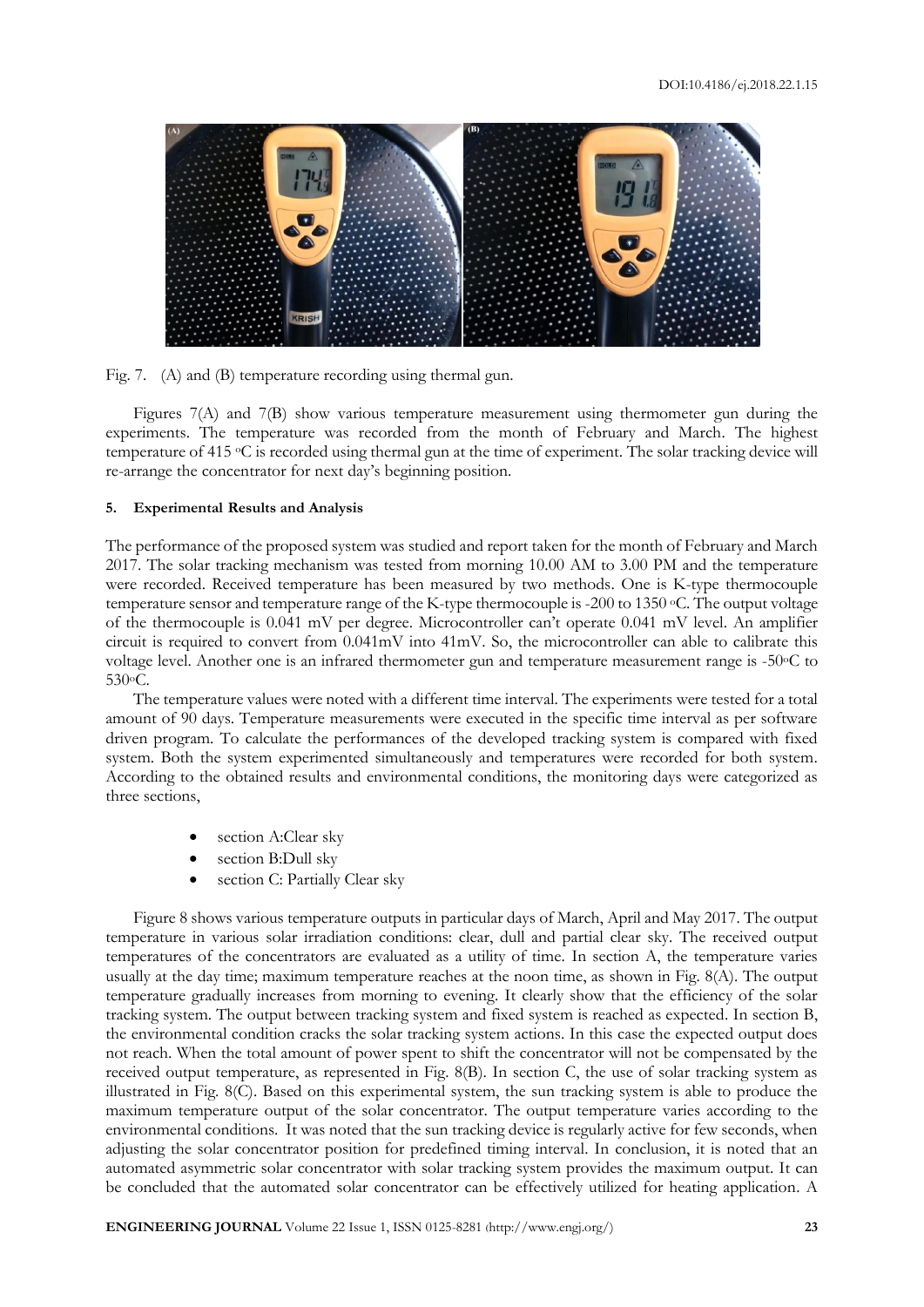



Figures 7(A) and 7(B) show various temperature measurement using thermometer gun during the experiments. The temperature was recorded from the month of February and March. The highest temperature of 415 oC is recorded using thermal gun at the time of experiment. The solar tracking device will re-arrange the concentrator for next day's beginning position.

## **5. Experimental Results and Analysis**

The performance of the proposed system was studied and report taken for the month of February and March 2017. The solar tracking mechanism was tested from morning 10.00 AM to 3.00 PM and the temperature were recorded. Received temperature has been measured by two methods. One is K-type thermocouple temperature sensor and temperature range of the K-type thermocouple is -200 to 1350 <sup>o</sup>C. The output voltage of the thermocouple is 0.041 mV per degree. Microcontroller can't operate 0.041 mV level. An amplifier circuit is required to convert from 0.041mV into 41mV. So, the microcontroller can able to calibrate this voltage level. Another one is an infrared thermometer gun and temperature measurement range is -50°C to 530oC.

The temperature values were noted with a different time interval. The experiments were tested for a total amount of 90 days. Temperature measurements were executed in the specific time interval as per software driven program. To calculate the performances of the developed tracking system is compared with fixed system. Both the system experimented simultaneously and temperatures were recorded for both system. According to the obtained results and environmental conditions, the monitoring days were categorized as three sections,

- section A:Clear sky
- section B:Dull sky
- section C: Partially Clear sky

Figure 8 shows various temperature outputs in particular days of March, April and May 2017. The output temperature in various solar irradiation conditions: clear, dull and partial clear sky. The received output temperatures of the concentrators are evaluated as a utility of time. In section A, the temperature varies usually at the day time; maximum temperature reaches at the noon time, as shown in Fig. 8(A). The output temperature gradually increases from morning to evening. It clearly show that the efficiency of the solar tracking system. The output between tracking system and fixed system is reached as expected. In section B, the environmental condition cracks the solar tracking system actions. In this case the expected output does not reach. When the total amount of power spent to shift the concentrator will not be compensated by the received output temperature, as represented in Fig. 8(B). In section C, the use of solar tracking system as illustrated in Fig. 8(C). Based on this experimental system, the sun tracking system is able to produce the maximum temperature output of the solar concentrator. The output temperature varies according to the environmental conditions. It was noted that the sun tracking device is regularly active for few seconds, when adjusting the solar concentrator position for predefined timing interval. In conclusion, it is noted that an automated asymmetric solar concentrator with solar tracking system provides the maximum output. It can be concluded that the automated solar concentrator can be effectively utilized for heating application. A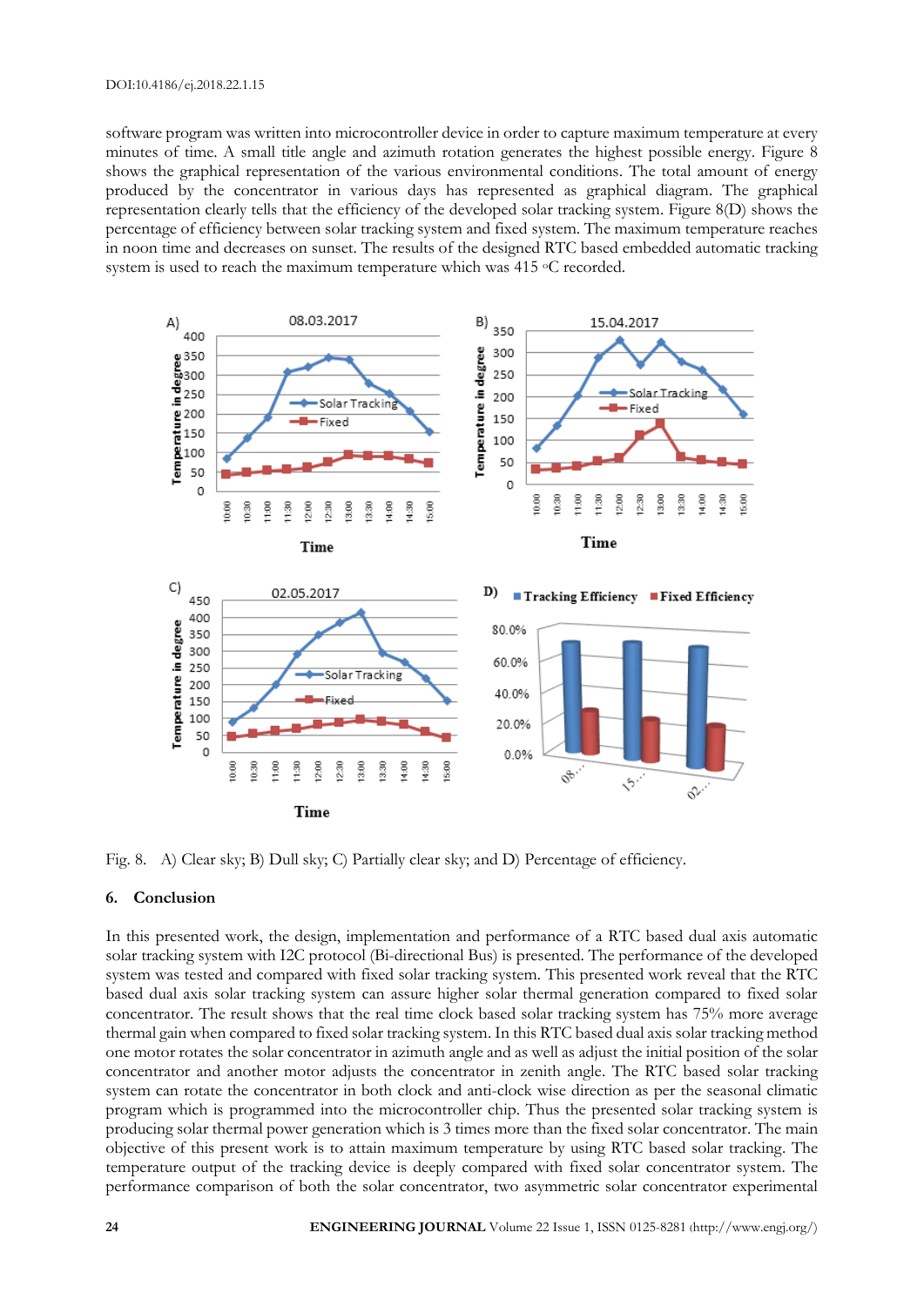#### DOI:10.4186/ej.2018.22.1.15

software program was written into microcontroller device in order to capture maximum temperature at every minutes of time. A small title angle and azimuth rotation generates the highest possible energy. Figure 8 shows the graphical representation of the various environmental conditions. The total amount of energy produced by the concentrator in various days has represented as graphical diagram. The graphical representation clearly tells that the efficiency of the developed solar tracking system. Figure 8(D) shows the percentage of efficiency between solar tracking system and fixed system. The maximum temperature reaches in noon time and decreases on sunset. The results of the designed RTC based embedded automatic tracking system is used to reach the maximum temperature which was 415 °C recorded.



Fig. 8. A) Clear sky; B) Dull sky; C) Partially clear sky; and D) Percentage of efficiency.

# **6. Conclusion**

In this presented work, the design, implementation and performance of a RTC based dual axis automatic solar tracking system with I2C protocol (Bi-directional Bus) is presented. The performance of the developed system was tested and compared with fixed solar tracking system. This presented work reveal that the RTC based dual axis solar tracking system can assure higher solar thermal generation compared to fixed solar concentrator. The result shows that the real time clock based solar tracking system has 75% more average thermal gain when compared to fixed solar tracking system. In this RTC based dual axis solar tracking method one motor rotates the solar concentrator in azimuth angle and as well as adjust the initial position of the solar concentrator and another motor adjusts the concentrator in zenith angle. The RTC based solar tracking system can rotate the concentrator in both clock and anti-clock wise direction as per the seasonal climatic program which is programmed into the microcontroller chip. Thus the presented solar tracking system is producing solar thermal power generation which is 3 times more than the fixed solar concentrator. The main objective of this present work is to attain maximum temperature by using RTC based solar tracking. The temperature output of the tracking device is deeply compared with fixed solar concentrator system. The performance comparison of both the solar concentrator, two asymmetric solar concentrator experimental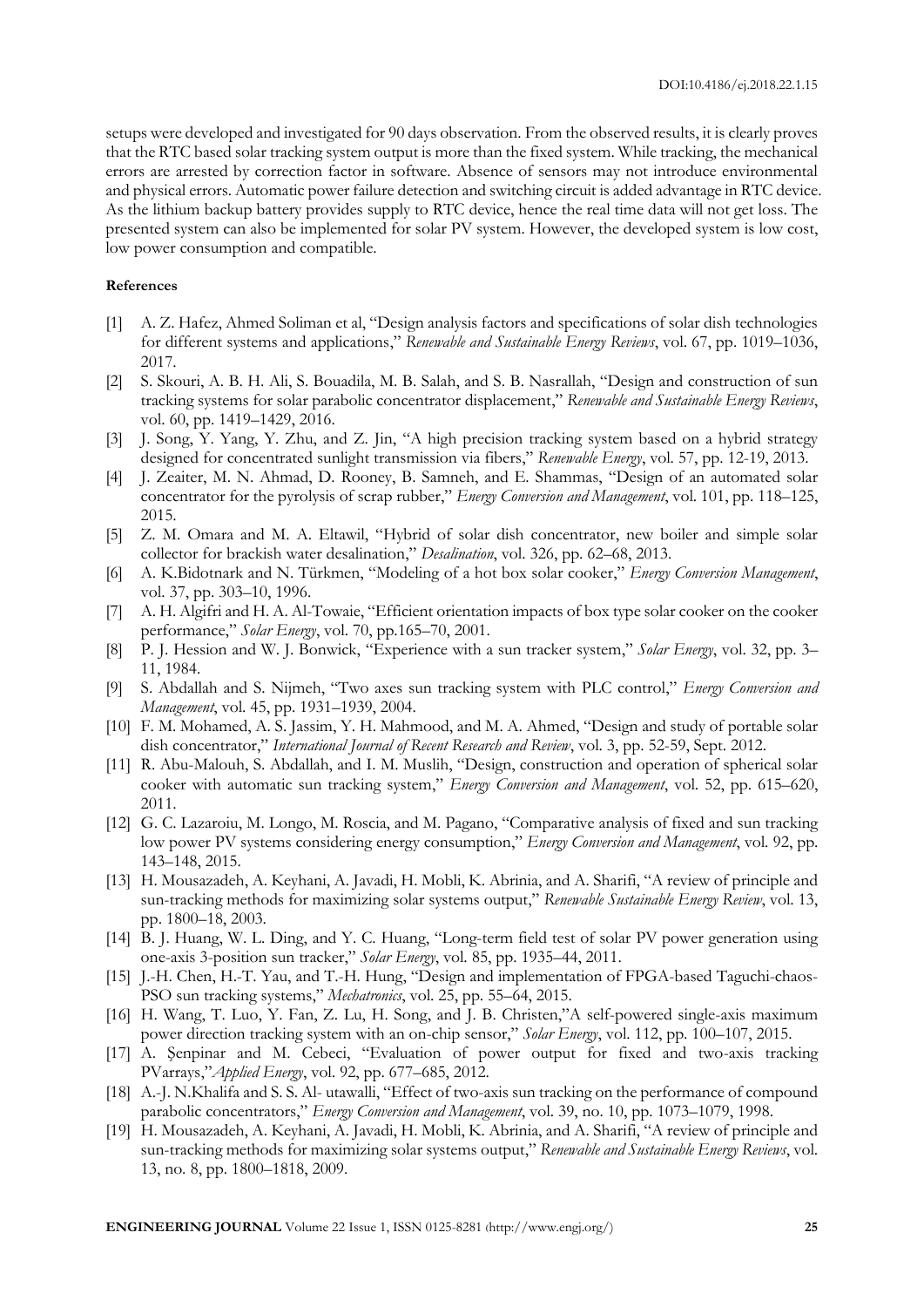setups were developed and investigated for 90 days observation. From the observed results, it is clearly proves that the RTC based solar tracking system output is more than the fixed system. While tracking, the mechanical errors are arrested by correction factor in software. Absence of sensors may not introduce environmental and physical errors. Automatic power failure detection and switching circuit is added advantage in RTC device. As the lithium backup battery provides supply to RTC device, hence the real time data will not get loss. The presented system can also be implemented for solar PV system. However, the developed system is low cost, low power consumption and compatible.

#### **References**

- [1] A. Z. Hafez, Ahmed Soliman et al, "Design analysis factors and specifications of solar dish technologies for different systems and applications," *Renewable and Sustainable Energy Reviews*, vol. 67, pp. 1019–1036, 2017.
- [2] S. Skouri, A. B. H. Ali, S. Bouadila, M. B. Salah, and S. B. Nasrallah, "Design and construction of sun tracking systems for solar parabolic concentrator displacement," *Renewable and Sustainable Energy Reviews*, vol. 60, pp. 1419–1429, 2016.
- [3] J. Song, Y. Yang, Y. Zhu, and Z. Jin, "A high precision tracking system based on a hybrid strategy designed for concentrated sunlight transmission via fibers," *Renewable Energy*, vol. 57, pp. 12-19, 2013.
- [4] J. Zeaiter, M. N. Ahmad, D. Rooney, B. Samneh, and E. Shammas, "Design of an automated solar concentrator for the pyrolysis of scrap rubber," *Energy Conversion and Management*, vol. 101, pp. 118–125, 2015.
- [5] Z. M. Omara and M. A. Eltawil, "Hybrid of solar dish concentrator, new boiler and simple solar collector for brackish water desalination," *Desalination*, vol. 326, pp. 62–68, 2013.
- [6] A. K.Bidotnark and N. Türkmen, "Modeling of a hot box solar cooker," *Energy Conversion Management*, vol. 37, pp. 303–10, 1996.
- [7] A. H. Algifri and H. A. Al-Towaie, "Efficient orientation impacts of box type solar cooker on the cooker performance," *Solar Energy*, vol. 70, pp.165–70, 2001.
- [8] P. J. Hession and W. J. Bonwick, "Experience with a sun tracker system," *Solar Energy*, vol. 32, pp. 3– 11, 1984.
- [9] S. Abdallah and S. Nijmeh, "Two axes sun tracking system with PLC control," *Energy Conversion and Management*, vol. 45, pp. 1931–1939, 2004.
- [10] F. M. Mohamed, A. S. Jassim, Y. H. Mahmood, and M. A. Ahmed, "Design and study of portable solar dish concentrator," *International Journal of Recent Research and Review*, vol. 3, pp. 52-59, Sept. 2012.
- [11] R. Abu-Malouh, S. Abdallah, and I. M. Muslih, "Design, construction and operation of spherical solar cooker with automatic sun tracking system," *Energy Conversion and Management*, vol. 52, pp. 615–620, 2011.
- [12] G. C. Lazaroiu, M. Longo, M. Roscia, and M. Pagano, "Comparative analysis of fixed and sun tracking low power PV systems considering energy consumption," *Energy Conversion and Management*, vol. 92, pp. 143–148, 2015.
- [13] H. Mousazadeh, A. Keyhani, A. Javadi, H. Mobli, K. Abrinia, and A. Sharifi, "A review of principle and sun-tracking methods for maximizing solar systems output," *Renewable Sustainable Energy Review*, vol. 13, pp. 1800–18, 2003.
- [14] B. J. Huang, W. L. Ding, and Y. C. Huang, "Long-term field test of solar PV power generation using one-axis 3-position sun tracker," *Solar Energy*, vol. 85, pp. 1935–44, 2011.
- [15] J.-H. Chen, H.-T. Yau, and T.-H. Hung, "Design and implementation of FPGA-based Taguchi-chaos-PSO sun tracking systems," *Mechatronics*, vol. 25, pp. 55–64, 2015.
- [16] H. Wang, T. Luo, Y. Fan, Z. Lu, H. Song, and J. B. Christen,"A self-powered single-axis maximum power direction tracking system with an on-chip sensor," *Solar Energy*, vol. 112, pp. 100–107, 2015.
- [17] A. Şenpinar and M. Cebeci, "Evaluation of power output for fixed and two-axis tracking PVarrays,"*Applied Energy*, vol. 92, pp. 677–685, 2012.
- [18] A.-J. N.Khalifa and S. S. Al- utawalli, "Effect of two-axis sun tracking on the performance of compound parabolic concentrators," *Energy Conversion and Management*, vol. 39, no. 10, pp. 1073–1079, 1998.
- [19] H. Mousazadeh, A. Keyhani, A. Javadi, H. Mobli, K. Abrinia, and A. Sharifi, "A review of principle and sun-tracking methods for maximizing solar systems output," *Renewable and Sustainable Energy Reviews*, vol. 13, no. 8, pp. 1800–1818, 2009.